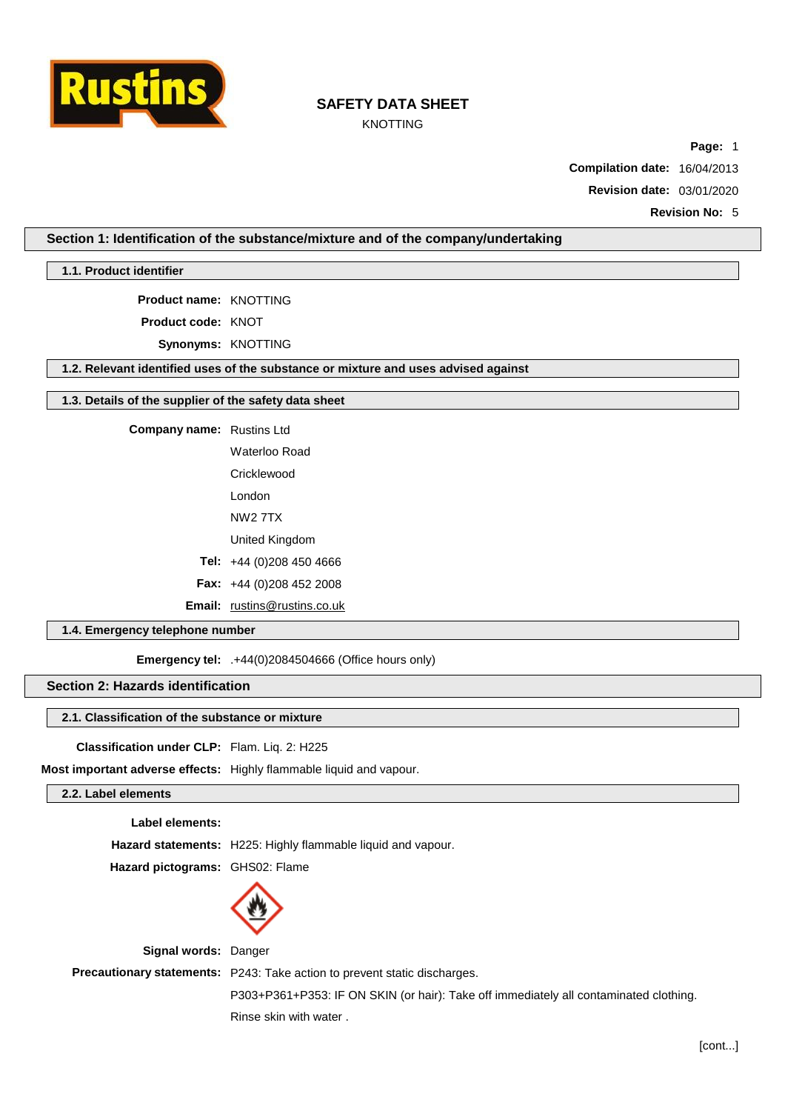

# KNOTTING

**Page:** 1

**Compilation date:** 16/04/2013

**Revision date:** 03/01/2020

**Revision No:** 5

# **Section 1: Identification of the substance/mixture and of the company/undertaking**

**1.1. Product identifier**

**Product name:** KNOTTING

**Product code:** KNOT

**Synonyms:** KNOTTING

**1.2. Relevant identified uses of the substance or mixture and uses advised against**

### **1.3. Details of the supplier of the safety data sheet**

**Company name:** Rustins Ltd

Waterloo Road

**Cricklewood** 

London

NW2 7TX

United Kingdom

**Tel:** +44 (0)208 450 4666

**Fax:** +44 (0)208 452 2008

**Email:** [rustins@rustins.co.uk](mailto:rustins@rustins.co.uk)

# **1.4. Emergency telephone number**

**Emergency tel:** .+44(0)2084504666 (Office hours only)

# **Section 2: Hazards identification**

### **2.1. Classification of the substance or mixture**

**Classification under CLP:** Flam. Liq. 2: H225

**Most important adverse effects:** Highly flammable liquid and vapour.

### **2.2. Label elements**

#### **Label elements:**

**Hazard statements:** H225: Highly flammable liquid and vapour.

**Hazard pictograms:** GHS02: Flame



**Signal words:** Danger **Precautionary statements:** P243: Take action to prevent static discharges. P303+P361+P353: IF ON SKIN (or hair): Take off immediately all contaminated clothing. Rinse skin with water .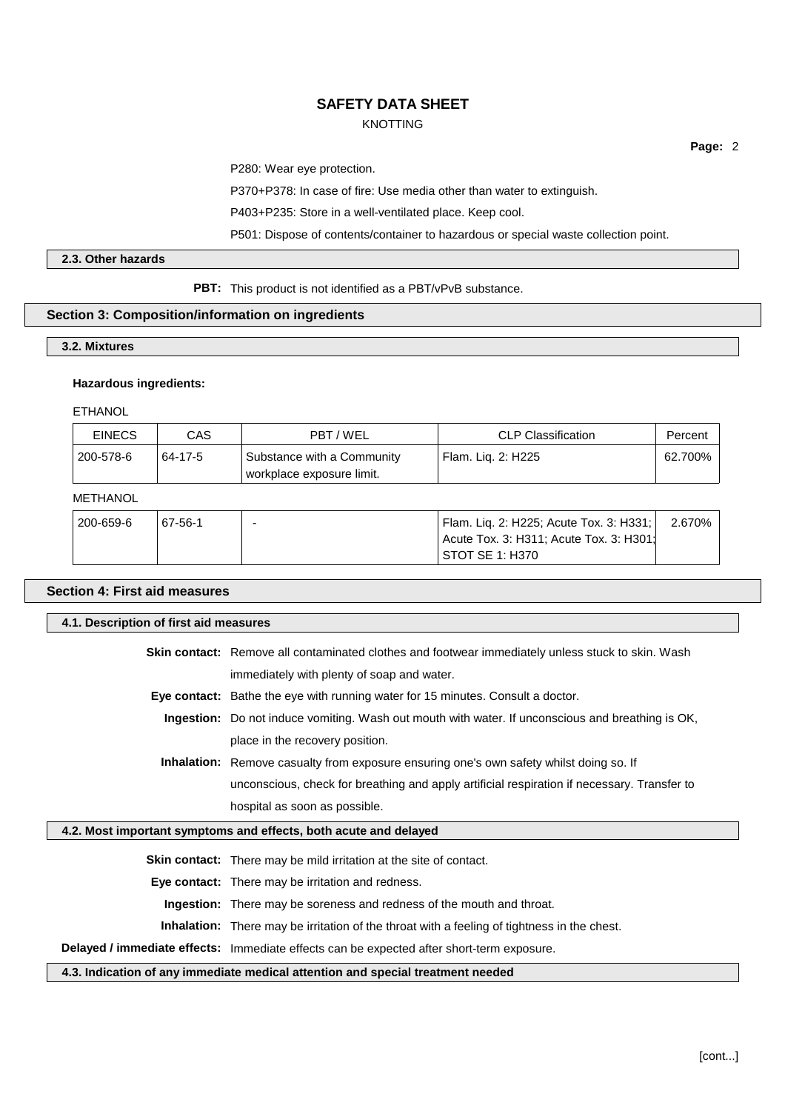# KNOTTING

**Page:** 2

P280: Wear eye protection.

P370+P378: In case of fire: Use media other than water to extinguish.

P403+P235: Store in a well-ventilated place. Keep cool.

P501: Dispose of contents/container to hazardous or special waste collection point.

# **2.3. Other hazards**

**PBT:** This product is not identified as a PBT/vPvB substance.

## **Section 3: Composition/information on ingredients**

### **3.2. Mixtures**

#### **Hazardous ingredients:**

ETHANOL

| <b>EINECS</b> | CAS     | PBT / WEL                                               | CLP Classification   | Percent |
|---------------|---------|---------------------------------------------------------|----------------------|---------|
| 200-578-6     | 64-17-5 | Substance with a Community<br>workplace exposure limit. | ' Flam. Lig. 2: H225 | 62.700% |

# METHANOL

| 200-659-6 | 67-56-1 | <sup>1</sup> Flam. Lig. 2: H225; Acute Tox. 3: H331; | 2.670% l |
|-----------|---------|------------------------------------------------------|----------|
|           |         | Acute Tox. 3: H311; Acute Tox. 3: H301:              |          |
|           |         | STOT SE 1: H370                                      |          |

| <b>Section 4: First aid measures</b>                             |                                                                                                          |  |  |  |  |
|------------------------------------------------------------------|----------------------------------------------------------------------------------------------------------|--|--|--|--|
|                                                                  | 4.1. Description of first aid measures                                                                   |  |  |  |  |
|                                                                  | <b>Skin contact:</b> Remove all contaminated clothes and footwear immediately unless stuck to skin. Wash |  |  |  |  |
|                                                                  | immediately with plenty of soap and water.                                                               |  |  |  |  |
|                                                                  | <b>Eye contact:</b> Bathe the eye with running water for 15 minutes. Consult a doctor.                   |  |  |  |  |
|                                                                  | <b>Ingestion:</b> Do not induce vomiting. Wash out mouth with water. If unconscious and breathing is OK, |  |  |  |  |
|                                                                  | place in the recovery position.                                                                          |  |  |  |  |
|                                                                  | Inhalation: Remove casualty from exposure ensuring one's own safety whilst doing so. If                  |  |  |  |  |
|                                                                  | unconscious, check for breathing and apply artificial respiration if necessary. Transfer to              |  |  |  |  |
|                                                                  | hospital as soon as possible.                                                                            |  |  |  |  |
| 4.2. Most important symptoms and effects, both acute and delayed |                                                                                                          |  |  |  |  |
|                                                                  | Skin contact: There may be mild irritation at the site of contact.                                       |  |  |  |  |
|                                                                  | <b>Eye contact:</b> There may be irritation and redness.                                                 |  |  |  |  |
|                                                                  | <b>Ingestion:</b> There may be soreness and redness of the mouth and throat.                             |  |  |  |  |
|                                                                  | <b>Inhalation:</b> There may be irritation of the throat with a feeling of tightness in the chest.       |  |  |  |  |
|                                                                  | Delayed / immediate effects: Immediate effects can be expected after short-term exposure.                |  |  |  |  |

**4.3. Indication of any immediate medical attention and special treatment needed**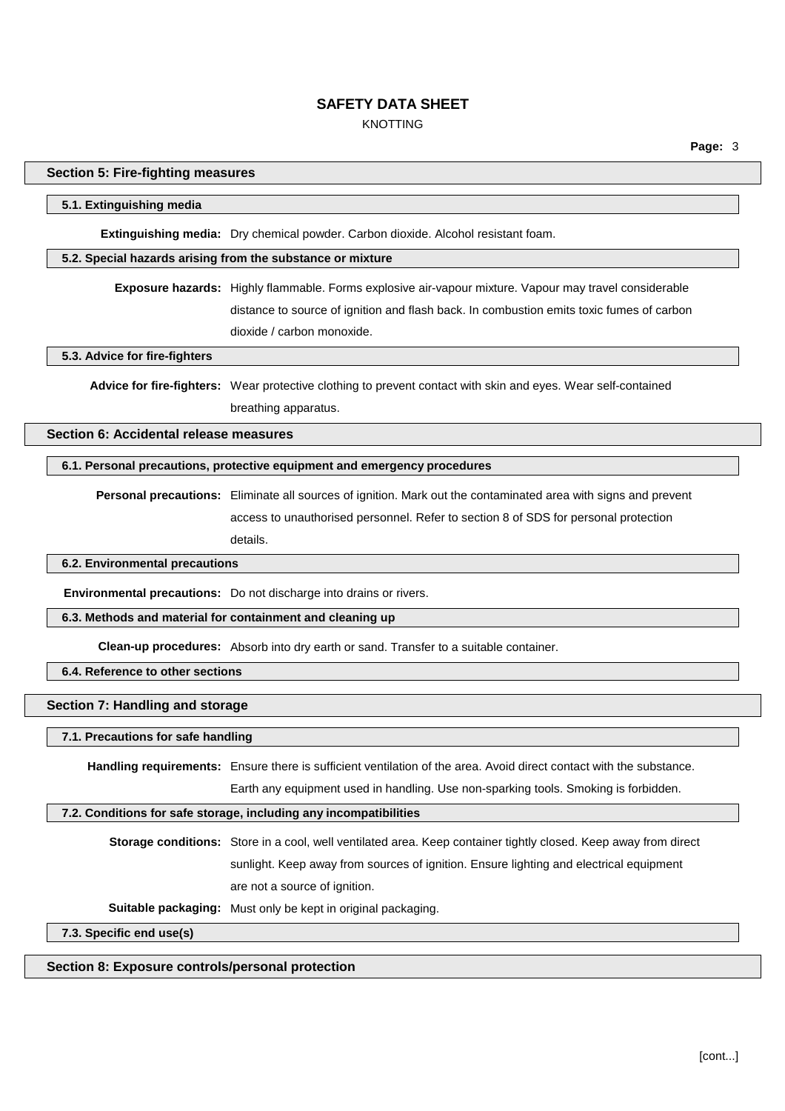# KNOTTING

| 5.1. Extinguishing media               |                                                                                                                     |
|----------------------------------------|---------------------------------------------------------------------------------------------------------------------|
|                                        | Extinguishing media: Dry chemical powder. Carbon dioxide. Alcohol resistant foam.                                   |
|                                        | 5.2. Special hazards arising from the substance or mixture                                                          |
|                                        | Exposure hazards: Highly flammable. Forms explosive air-vapour mixture. Vapour may travel considerable              |
|                                        | distance to source of ignition and flash back. In combustion emits toxic fumes of carbon                            |
|                                        | dioxide / carbon monoxide.                                                                                          |
| 5.3. Advice for fire-fighters          |                                                                                                                     |
|                                        | Advice for fire-fighters: Wear protective clothing to prevent contact with skin and eyes. Wear self-contained       |
|                                        | breathing apparatus.                                                                                                |
| Section 6: Accidental release measures |                                                                                                                     |
|                                        | 6.1. Personal precautions, protective equipment and emergency procedures                                            |
|                                        | Personal precautions: Eliminate all sources of ignition. Mark out the contaminated area with signs and prevent      |
|                                        | access to unauthorised personnel. Refer to section 8 of SDS for personal protection                                 |
|                                        | details.                                                                                                            |
| 6.2. Environmental precautions         |                                                                                                                     |
|                                        | Environmental precautions: Do not discharge into drains or rivers.                                                  |
|                                        | 6.3. Methods and material for containment and cleaning up                                                           |
|                                        | Clean-up procedures: Absorb into dry earth or sand. Transfer to a suitable container.                               |
| 6.4. Reference to other sections       |                                                                                                                     |
| Section 7: Handling and storage        |                                                                                                                     |
| 7.1. Precautions for safe handling     |                                                                                                                     |
|                                        | Handling requirements: Ensure there is sufficient ventilation of the area. Avoid direct contact with the substance. |
|                                        | Earth any equipment used in handling. Use non-sparking tools. Smoking is forbidden.                                 |
|                                        | 7.2. Conditions for safe storage, including any incompatibilities                                                   |
|                                        | Storage conditions: Store in a cool, well ventilated area. Keep container tightly closed. Keep away from direct     |
|                                        | sunlight. Keep away from sources of ignition. Ensure lighting and electrical equipment                              |
|                                        | are not a source of ignition.                                                                                       |
|                                        |                                                                                                                     |

# **Section 8: Exposure controls/personal protection**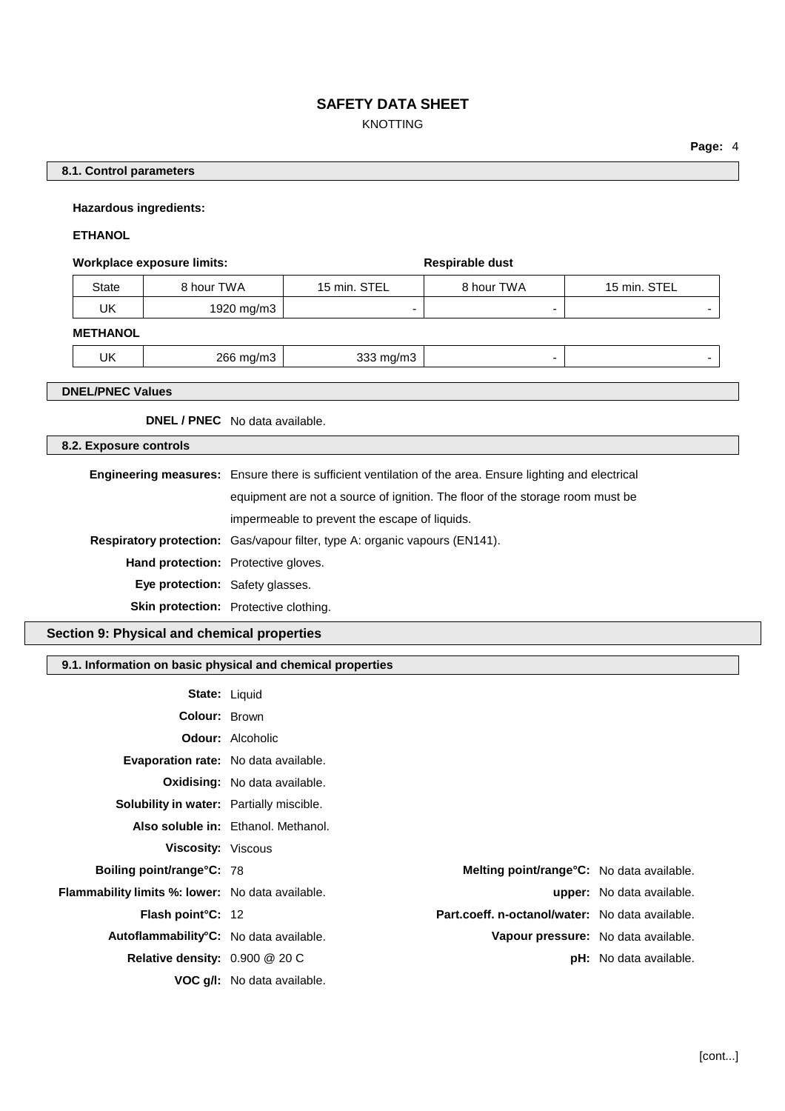# KNOTTING

# **8.1. Control parameters**

### **Hazardous ingredients:**

# **ETHANOL**

#### **Workplace exposure limits: Respirable** dust

| State | 8 hour TWA | 15 min. STEL | 8 hour TWA | STEL<br>15 min. |
|-------|------------|--------------|------------|-----------------|
| UΚ    | 1920 mg/m3 |              |            |                 |

#### **METHANOL**

|  | UK | าคเ<br>,,,,,<br>$\sim$ $\sim$ $\sim$ $\sim$<br>$\sim$<br>. . | ,,,,<br>----<br>$\sim$<br>. . |  |  |
|--|----|--------------------------------------------------------------|-------------------------------|--|--|
|--|----|--------------------------------------------------------------|-------------------------------|--|--|

### **DNEL/PNEC Values**

**DNEL / PNEC** No data available.

# **8.2. Exposure controls**

|                                        | <b>Engineering measures:</b> Ensure there is sufficient ventilation of the area. Ensure lighting and electrical |  |
|----------------------------------------|-----------------------------------------------------------------------------------------------------------------|--|
|                                        | equipment are not a source of ignition. The floor of the storage room must be                                   |  |
|                                        | impermeable to prevent the escape of liquids.                                                                   |  |
|                                        | <b>Respiratory protection:</b> Gas/vapour filter, type A: organic vapours (EN141).                              |  |
|                                        | <b>Hand protection:</b> Protective gloves.                                                                      |  |
| <b>Eye protection:</b> Safety glasses. |                                                                                                                 |  |
|                                        | <b>Skin protection:</b> Protective clothing.                                                                    |  |

### **Section 9: Physical and chemical properties**

### **9.1. Information on basic physical and chemical properties**

|                                                  | <b>State: Liquid</b>                            |                                  |
|--------------------------------------------------|-------------------------------------------------|----------------------------------|
| <b>Colour: Brown</b>                             |                                                 |                                  |
|                                                  | <b>Odour:</b> Alcoholic                         |                                  |
| <b>Evaporation rate:</b> No data available.      |                                                 |                                  |
|                                                  | <b>Oxidising:</b> No data available.            |                                  |
| Solubility in water: Partially miscible.         |                                                 |                                  |
|                                                  | Also soluble in: Ethanol. Methanol.             |                                  |
| Viscosity: Viscous                               |                                                 |                                  |
| <b>Boiling point/range °C: 78</b>                | Melting point/range°C: No data available.       |                                  |
| Flammability limits %: lower: No data available. |                                                 | <b>upper:</b> No data available. |
| Flash point°C: 12                                | Part.coeff. n-octanol/water: No data available. |                                  |
| Autoflammability°C: No data available.           | Vapour pressure: No data available.             |                                  |
| Relative density: 0.900 @ 20 C                   |                                                 | <b>pH:</b> No data available.    |
|                                                  | <b>VOC g/l:</b> No data available.              |                                  |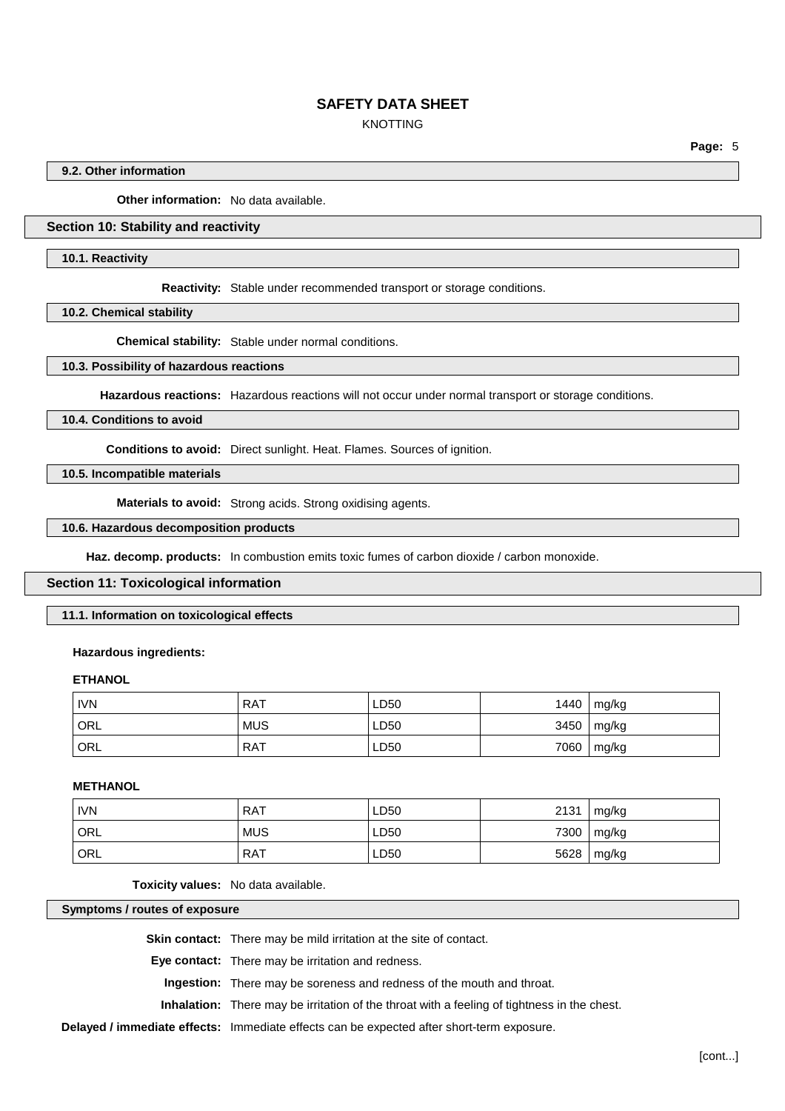# KNOTTING

**Page:** 5

### **9.2. Other information**

**Other information:** No data available.

# **Section 10: Stability and reactivity**

#### **10.1. Reactivity**

**Reactivity:** Stable under recommended transport or storage conditions.

**10.2. Chemical stability**

**Chemical stability:** Stable under normal conditions.

#### **10.3. Possibility of hazardous reactions**

**Hazardous reactions:** Hazardous reactions will not occur under normal transport or storage conditions.

#### **10.4. Conditions to avoid**

**Conditions to avoid:** Direct sunlight. Heat. Flames. Sources of ignition.

# **10.5. Incompatible materials**

**Materials to avoid:** Strong acids. Strong oxidising agents.

### **10.6. Hazardous decomposition products**

**Haz. decomp. products:** In combustion emits toxic fumes of carbon dioxide / carbon monoxide.

### **Section 11: Toxicological information**

**11.1. Information on toxicological effects**

#### **Hazardous ingredients:**

### **ETHANOL**

| <b>IVN</b>         | <b>RAT</b> | LD50 | 1440 | mg/kg |
|--------------------|------------|------|------|-------|
| $\overline{O}$ ORL | <b>MUS</b> | LD50 | 3450 | mg/kg |
| ' ORL              | <b>RAT</b> | LD50 | 7060 | mg/kg |

# **METHANOL**

| <b>IVN</b> | <b>RAT</b> | LD50 | 2131 | mg/kg        |
|------------|------------|------|------|--------------|
| ORL        | <b>MUS</b> | LD50 |      | 7300   mg/kg |
| ORL        | <b>RAT</b> | LD50 | 5628 | mg/kg        |

**Toxicity values:** No data available.

#### **Symptoms / routes of exposure**

**Skin contact:** There may be mild irritation at the site of contact.

**Eye contact:** There may be irritation and redness.

**Ingestion:** There may be soreness and redness of the mouth and throat.

**Inhalation:** There may be irritation of the throat with a feeling of tightness in the chest.

**Delayed / immediate effects:** Immediate effects can be expected after short-term exposure.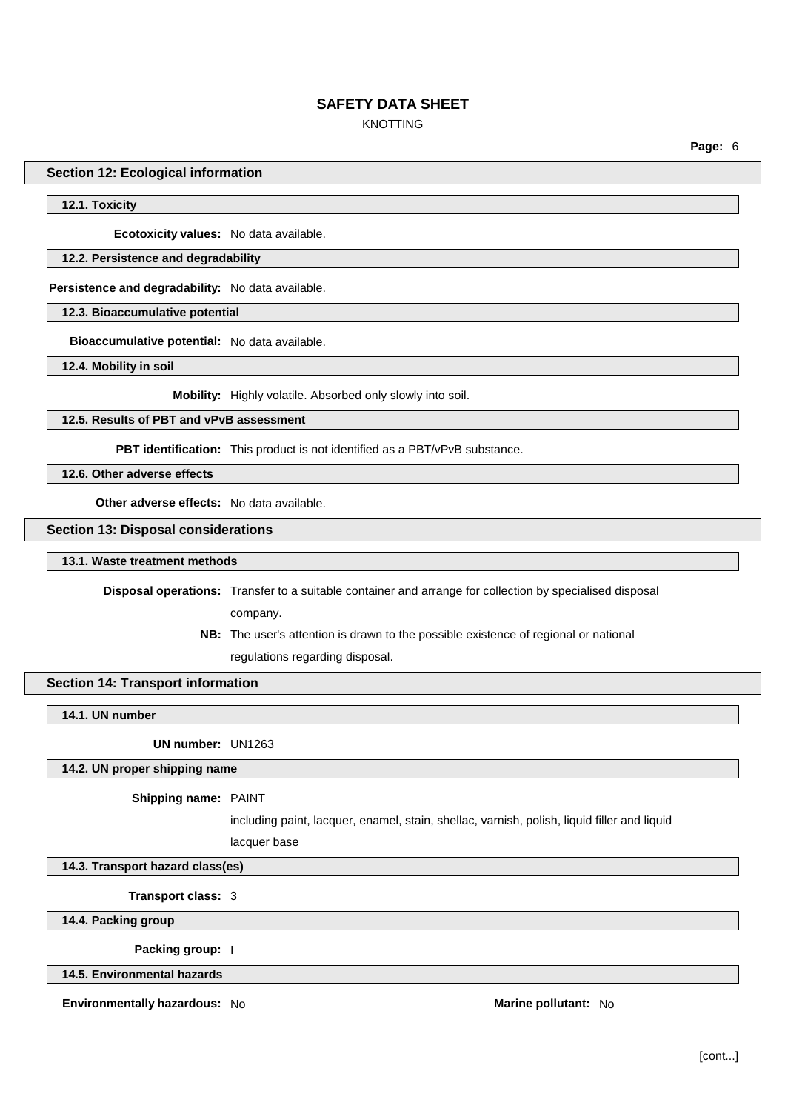# KNOTTING

**Page:** 6

### **Section 12: Ecological information**

### **12.1. Toxicity**

**Ecotoxicity values:** No data available.

### **12.2. Persistence and degradability**

**Persistence and degradability:** No data available.

**12.3. Bioaccumulative potential**

**Bioaccumulative potential:** No data available.

**12.4. Mobility in soil**

**Mobility:** Highly volatile. Absorbed only slowly into soil.

**12.5. Results of PBT and vPvB assessment**

**PBT identification:** This product is not identified as a PBT/vPvB substance.

**12.6. Other adverse effects**

**Other adverse effects:** No data available.

### **Section 13: Disposal considerations**

#### **13.1. Waste treatment methods**

**Disposal operations:** Transfer to a suitable container and arrange for collection by specialised disposal

company.

**NB:** The user's attention is drawn to the possible existence of regional or national regulations regarding disposal.

### **Section 14: Transport information**

**14.1. UN number**

**UN number:** UN1263

### **14.2. UN proper shipping name**

#### **Shipping name:** PAINT

including paint, lacquer, enamel, stain, shellac, varnish, polish, liquid filler and liquid

lacquer base

**14.3. Transport hazard class(es)**

**Transport class:** 3

**14.4. Packing group**

**Packing group:** I

**14.5. Environmental hazards**

**Environmentally hazardous:** No **Marine Marine Marine Marine Marine Marine Marine Marine Marine Marine**